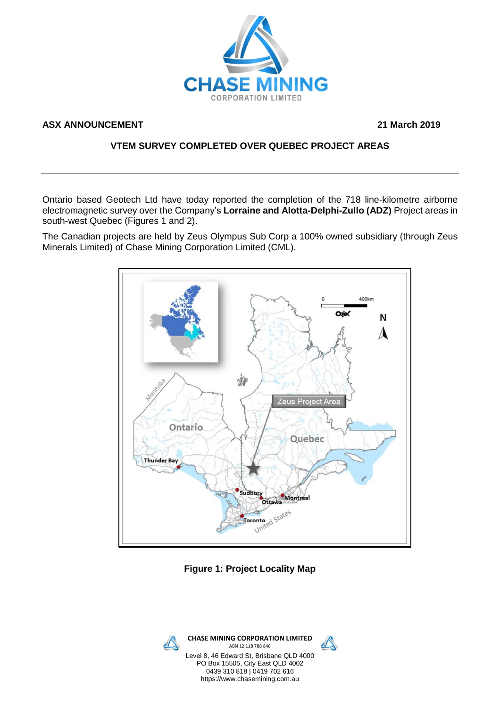

# ASX ANNOUNCEMENT 2019

# **VTEM SURVEY COMPLETED OVER QUEBEC PROJECT AREAS**

Ontario based Geotech Ltd have today reported the completion of the 718 line-kilometre airborne electromagnetic survey over the Company's **Lorraine and Alotta-Delphi-Zullo (ADZ)** Project areas in south-west Quebec (Figures 1 and 2).

The Canadian projects are held by Zeus Olympus Sub Corp a 100% owned subsidiary (through Zeus Minerals Limited) of Chase Mining Corporation Limited (CML).



**Figure 1: Project Locality Map** 



**CHASE MINING CORPORATION LIMITED** ABN 12 118 788 846



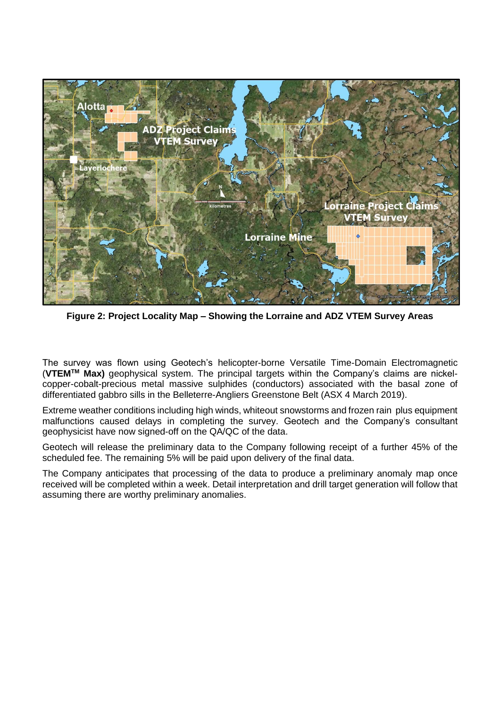

**Figure 2: Project Locality Map – Showing the Lorraine and ADZ VTEM Survey Areas**

The survey was flown using Geotech's helicopter-borne Versatile Time-Domain Electromagnetic (**VTEMTM Max)** geophysical system. The principal targets within the Company's claims are nickelcopper-cobalt-precious metal massive sulphides (conductors) associated with the basal zone of differentiated gabbro sills in the Belleterre-Angliers Greenstone Belt (ASX 4 March 2019).

Extreme weather conditions including high winds, whiteout snowstorms and frozen rain plus equipment malfunctions caused delays in completing the survey. Geotech and the Company's consultant geophysicist have now signed-off on the QA/QC of the data.

Geotech will release the preliminary data to the Company following receipt of a further 45% of the scheduled fee. The remaining 5% will be paid upon delivery of the final data.

The Company anticipates that processing of the data to produce a preliminary anomaly map once received will be completed within a week. Detail interpretation and drill target generation will follow that assuming there are worthy preliminary anomalies.